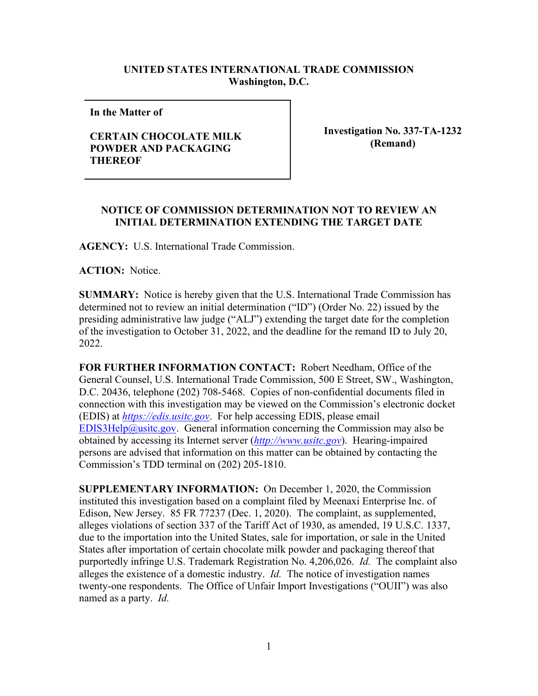## **UNITED STATES INTERNATIONAL TRADE COMMISSION Washington, D.C.**

**In the Matter of** 

## **CERTAIN CHOCOLATE MILK POWDER AND PACKAGING THEREOF**

**Investigation No. 337-TA-1232 (Remand)**

## **NOTICE OF COMMISSION DETERMINATION NOT TO REVIEW AN INITIAL DETERMINATION EXTENDING THE TARGET DATE**

**AGENCY:** U.S. International Trade Commission.

**ACTION:** Notice.

**SUMMARY:** Notice is hereby given that the U.S. International Trade Commission has determined not to review an initial determination ("ID") (Order No. 22) issued by the presiding administrative law judge ("ALJ") extending the target date for the completion of the investigation to October 31, 2022, and the deadline for the remand ID to July 20, 2022.

**FOR FURTHER INFORMATION CONTACT:** Robert Needham, Office of the General Counsel, U.S. International Trade Commission, 500 E Street, SW., Washington, D.C. 20436, telephone (202) 708-5468. Copies of non-confidential documents filed in connection with this investigation may be viewed on the Commission's electronic docket (EDIS) at *[https://edis.usitc.gov](https://edis.usitc.gov/)*. For help accessing EDIS, please email [EDIS3Help@usitc.gov.](mailto:EDIS3Help@usitc.gov) General information concerning the Commission may also be obtained by accessing its Internet server (*[http://www.usitc.gov](http://www.usitc.gov/)*). Hearing-impaired persons are advised that information on this matter can be obtained by contacting the Commission's TDD terminal on (202) 205-1810.

**SUPPLEMENTARY INFORMATION:** On December 1, 2020, the Commission instituted this investigation based on a complaint filed by Meenaxi Enterprise Inc. of Edison, New Jersey. 85 FR 77237 (Dec. 1, 2020). The complaint, as supplemented, alleges violations of section 337 of the Tariff Act of 1930, as amended, 19 U.S.C. 1337, due to the importation into the United States, sale for importation, or sale in the United States after importation of certain chocolate milk powder and packaging thereof that purportedly infringe U.S. Trademark Registration No. 4,206,026. *Id.* The complaint also alleges the existence of a domestic industry. *Id.* The notice of investigation names twenty-one respondents. The Office of Unfair Import Investigations ("OUII") was also named as a party. *Id.*